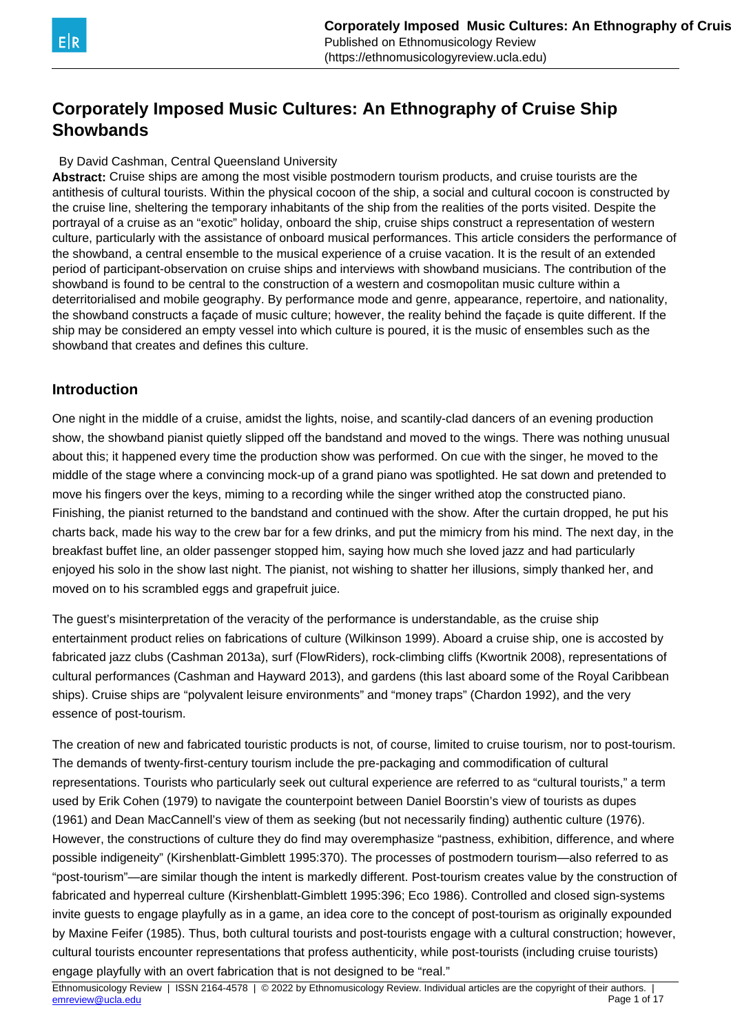

# **Corporately Imposed Music Cultures: An Ethnography of Cruise Ship Showbands**

### By David Cashman, Central Queensland University

**Abstract:** Cruise ships are among the most visible postmodern tourism products, and cruise tourists are the antithesis of cultural tourists. Within the physical cocoon of the ship, a social and cultural cocoon is constructed by the cruise line, sheltering the temporary inhabitants of the ship from the realities of the ports visited. Despite the portrayal of a cruise as an "exotic" holiday, onboard the ship, cruise ships construct a representation of western culture, particularly with the assistance of onboard musical performances. This article considers the performance of the showband, a central ensemble to the musical experience of a cruise vacation. It is the result of an extended period of participant-observation on cruise ships and interviews with showband musicians. The contribution of the showband is found to be central to the construction of a western and cosmopolitan music culture within a deterritorialised and mobile geography. By performance mode and genre, appearance, repertoire, and nationality, the showband constructs a façade of music culture; however, the reality behind the façade is quite different. If the ship may be considered an empty vessel into which culture is poured, it is the music of ensembles such as the showband that creates and defines this culture.

### **Introduction**

One night in the middle of a cruise, amidst the lights, noise, and scantily-clad dancers of an evening production show, the showband pianist quietly slipped off the bandstand and moved to the wings. There was nothing unusual about this; it happened every time the production show was performed. On cue with the singer, he moved to the middle of the stage where a convincing mock-up of a grand piano was spotlighted. He sat down and pretended to move his fingers over the keys, miming to a recording while the singer writhed atop the constructed piano. Finishing, the pianist returned to the bandstand and continued with the show. After the curtain dropped, he put his charts back, made his way to the crew bar for a few drinks, and put the mimicry from his mind. The next day, in the breakfast buffet line, an older passenger stopped him, saying how much she loved jazz and had particularly enjoyed his solo in the show last night. The pianist, not wishing to shatter her illusions, simply thanked her, and moved on to his scrambled eggs and grapefruit juice.

The guest's misinterpretation of the veracity of the performance is understandable, as the cruise ship entertainment product relies on fabrications of culture (Wilkinson 1999). Aboard a cruise ship, one is accosted by fabricated jazz clubs (Cashman 2013a), surf (FlowRiders), rock-climbing cliffs (Kwortnik 2008), representations of cultural performances (Cashman and Hayward 2013), and gardens (this last aboard some of the Royal Caribbean ships). Cruise ships are "polyvalent leisure environments" and "money traps" (Chardon 1992), and the very essence of post-tourism.

The creation of new and fabricated touristic products is not, of course, limited to cruise tourism, nor to post-tourism. The demands of twenty-first-century tourism include the pre-packaging and commodification of cultural representations. Tourists who particularly seek out cultural experience are referred to as "cultural tourists," a term used by Erik Cohen (1979) to navigate the counterpoint between Daniel Boorstin's view of tourists as dupes (1961) and Dean MacCannell's view of them as seeking (but not necessarily finding) authentic culture (1976). However, the constructions of culture they do find may overemphasize "pastness, exhibition, difference, and where possible indigeneity" (Kirshenblatt-Gimblett 1995:370). The processes of postmodern tourism—also referred to as "post-tourism"—are similar though the intent is markedly different. Post-tourism creates value by the construction of fabricated and hyperreal culture (Kirshenblatt-Gimblett 1995:396; Eco 1986). Controlled and closed sign-systems invite guests to engage playfully as in a game, an idea core to the concept of post-tourism as originally expounded by Maxine Feifer (1985). Thus, both cultural tourists and post-tourists engage with a cultural construction; however, cultural tourists encounter representations that profess authenticity, while post-tourists (including cruise tourists) engage playfully with an overt fabrication that is not designed to be "real."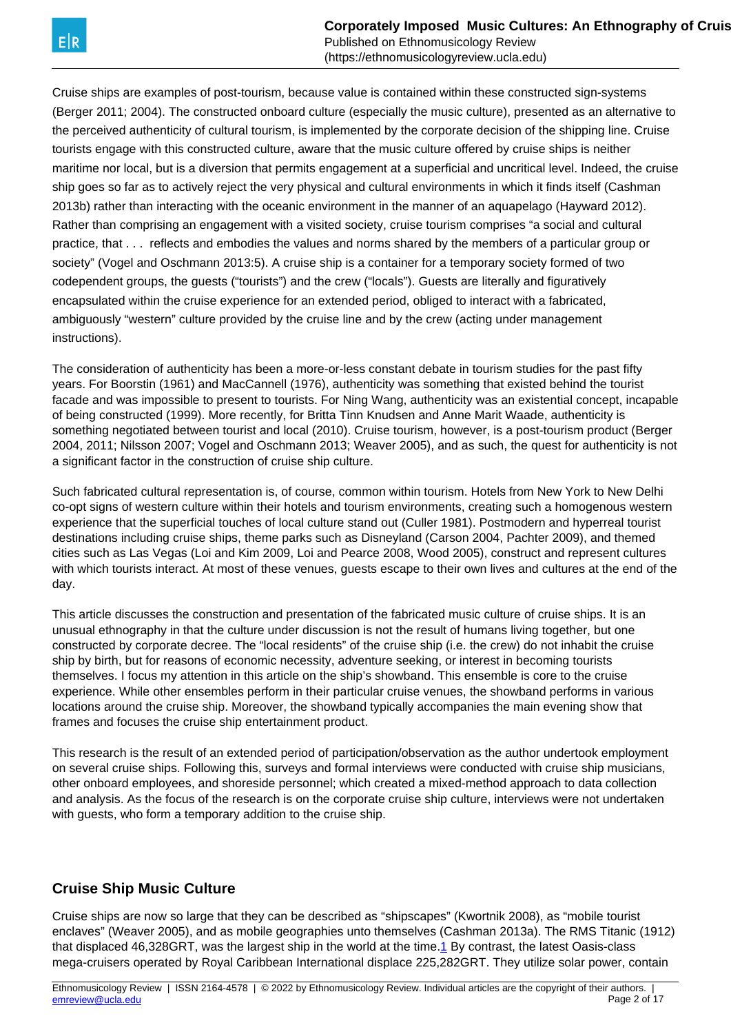(https://ethnomusicologyreview.ucla.edu)

<span id="page-1-0"></span>Cruise ships are examples of post-tourism, because value is contained within these constructed sign-systems (Berger 2011; 2004). The constructed onboard culture (especially the music culture), presented as an alternative to the perceived authenticity of cultural tourism, is implemented by the corporate decision of the shipping line. Cruise tourists engage with this constructed culture, aware that the music culture offered by cruise ships is neither maritime nor local, but is a diversion that permits engagement at a superficial and uncritical level. Indeed, the cruise ship goes so far as to actively reject the very physical and cultural environments in which it finds itself (Cashman 2013b) rather than interacting with the oceanic environment in the manner of an aquapelago (Hayward 2012). Rather than comprising an engagement with a visited society, cruise tourism comprises "a social and cultural practice, that . . . reflects and embodies the values and norms shared by the members of a particular group or society" (Vogel and Oschmann 2013:5). A cruise ship is a container for a temporary society formed of two codependent groups, the guests ("tourists") and the crew ("locals"). Guests are literally and figuratively encapsulated within the cruise experience for an extended period, obliged to interact with a fabricated, ambiguously "western" culture provided by the cruise line and by the crew (acting under management instructions).

The consideration of authenticity has been a more-or-less constant debate in tourism studies for the past fifty years. For Boorstin (1961) and MacCannell (1976), authenticity was something that existed behind the tourist facade and was impossible to present to tourists. For Ning Wang, authenticity was an existential concept, incapable of being constructed (1999). More recently, for Britta Tinn Knudsen and Anne Marit Waade, authenticity is something negotiated between tourist and local (2010). Cruise tourism, however, is a post-tourism product (Berger 2004, 2011; Nilsson 2007; Vogel and Oschmann 2013; Weaver 2005), and as such, the quest for authenticity is not a significant factor in the construction of cruise ship culture.

Such fabricated cultural representation is, of course, common within tourism. Hotels from New York to New Delhi co-opt signs of western culture within their hotels and tourism environments, creating such a homogenous western experience that the superficial touches of local culture stand out (Culler 1981). Postmodern and hyperreal tourist destinations including cruise ships, theme parks such as Disneyland (Carson 2004, Pachter 2009), and themed cities such as Las Vegas (Loi and Kim 2009, Loi and Pearce 2008, Wood 2005), construct and represent cultures with which tourists interact. At most of these venues, guests escape to their own lives and cultures at the end of the day.

This article discusses the construction and presentation of the fabricated music culture of cruise ships. It is an unusual ethnography in that the culture under discussion is not the result of humans living together, but one constructed by corporate decree. The "local residents" of the cruise ship (i.e. the crew) do not inhabit the cruise ship by birth, but for reasons of economic necessity, adventure seeking, or interest in becoming tourists themselves. I focus my attention in this article on the ship's showband. This ensemble is core to the cruise experience. While other ensembles perform in their particular cruise venues, the showband performs in various locations around the cruise ship. Moreover, the showband typically accompanies the main evening show that frames and focuses the cruise ship entertainment product.

This research is the result of an extended period of participation/observation as the author undertook employment on several cruise ships. Following this, surveys and formal interviews were conducted with cruise ship musicians, other onboard employees, and shoreside personnel; which created a mixed-method approach to data collection and analysis. As the focus of the research is on the corporate cruise ship culture, interviews were not undertaken with guests, who form a temporary addition to the cruise ship.

# **Cruise Ship Music Culture**

Cruise ships are now so large that they can be described as "shipscapes" (Kwortnik 2008), as "mobile tourist enclaves" (Weaver 2005), and as mobile geographies unto themselves (Cashman 2013a). The RMS Titanic (1912) that displaced 46,328GRT, was the largest ship in the world at the time.<sup>[1](#page-1-0)</sup> By contrast, the latest Oasis-class mega-cruisers operated by Royal Caribbean International displace 225,282GRT. They utilize solar power, contain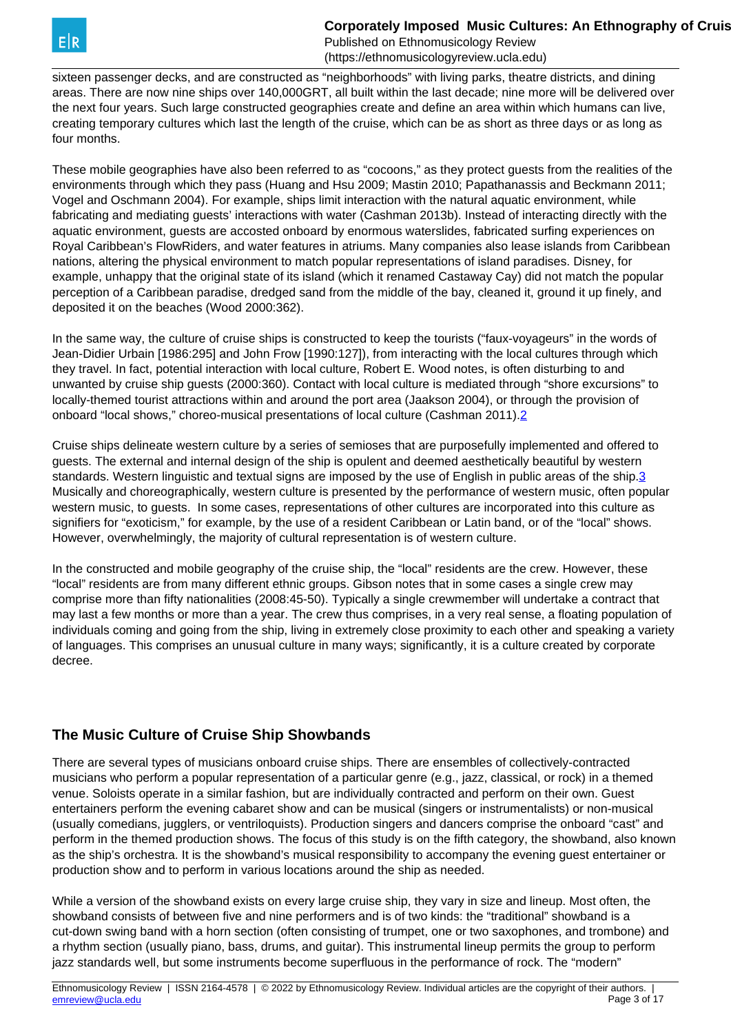<span id="page-2-0"></span>

sixteen passenger decks, and are constructed as "neighborhoods" with living parks, theatre districts, and dining areas. There are now nine ships over 140,000GRT, all built within the last decade; nine more will be delivered over the next four years. Such large constructed geographies create and define an area within which humans can live, creating temporary cultures which last the length of the cruise, which can be as short as three days or as long as four months.

These mobile geographies have also been referred to as "cocoons," as they protect guests from the realities of the environments through which they pass (Huang and Hsu 2009; Mastin 2010; Papathanassis and Beckmann 2011; Vogel and Oschmann 2004). For example, ships limit interaction with the natural aquatic environment, while fabricating and mediating guests' interactions with water (Cashman 2013b). Instead of interacting directly with the aquatic environment, guests are accosted onboard by enormous waterslides, fabricated surfing experiences on Royal Caribbean's FlowRiders, and water features in atriums. Many companies also lease islands from Caribbean nations, altering the physical environment to match popular representations of island paradises. Disney, for example, unhappy that the original state of its island (which it renamed Castaway Cay) did not match the popular perception of a Caribbean paradise, dredged sand from the middle of the bay, cleaned it, ground it up finely, and deposited it on the beaches (Wood 2000:362).

In the same way, the culture of cruise ships is constructed to keep the tourists ("faux-voyageurs" in the words of Jean-Didier Urbain [1986:295] and John Frow [1990:127]), from interacting with the local cultures through which they travel. In fact, potential interaction with local culture, Robert E. Wood notes, is often disturbing to and unwanted by cruise ship guests (2000:360). Contact with local culture is mediated through "shore excursions" to locally-themed tourist attractions within and around the port area (Jaakson 2004), or through the provision of onboard "local shows," choreo-musical presentations of local culture (Cashman 2011).[2](#page-2-0)

Cruise ships delineate western culture by a series of semioses that are purposefully implemented and offered to guests. The external and internal design of the ship is opulent and deemed aesthetically beautiful by western standards. Western linguistic and textual signs are imposed by the use of English in public areas of the ship.<sup>[3](#page-2-0)</sup> Musically and choreographically, western culture is presented by the performance of western music, often popular western music, to quests. In some cases, representations of other cultures are incorporated into this culture as signifiers for "exoticism," for example, by the use of a resident Caribbean or Latin band, or of the "local" shows. However, overwhelmingly, the majority of cultural representation is of western culture.

In the constructed and mobile geography of the cruise ship, the "local" residents are the crew. However, these "local" residents are from many different ethnic groups. Gibson notes that in some cases a single crew may comprise more than fifty nationalities (2008:45-50). Typically a single crewmember will undertake a contract that may last a few months or more than a year. The crew thus comprises, in a very real sense, a floating population of individuals coming and going from the ship, living in extremely close proximity to each other and speaking a variety of languages. This comprises an unusual culture in many ways; significantly, it is a culture created by corporate decree.

# **The Music Culture of Cruise Ship Showbands**

There are several types of musicians onboard cruise ships. There are ensembles of collectively-contracted musicians who perform a popular representation of a particular genre (e.g., jazz, classical, or rock) in a themed venue. Soloists operate in a similar fashion, but are individually contracted and perform on their own. Guest entertainers perform the evening cabaret show and can be musical (singers or instrumentalists) or non-musical (usually comedians, jugglers, or ventriloquists). Production singers and dancers comprise the onboard "cast" and perform in the themed production shows. The focus of this study is on the fifth category, the showband, also known as the ship's orchestra. It is the showband's musical responsibility to accompany the evening guest entertainer or production show and to perform in various locations around the ship as needed.

While a version of the showband exists on every large cruise ship, they vary in size and lineup. Most often, the showband consists of between five and nine performers and is of two kinds: the "traditional" showband is a cut-down swing band with a horn section (often consisting of trumpet, one or two saxophones, and trombone) and a rhythm section (usually piano, bass, drums, and guitar). This instrumental lineup permits the group to perform jazz standards well, but some instruments become superfluous in the performance of rock. The "modern"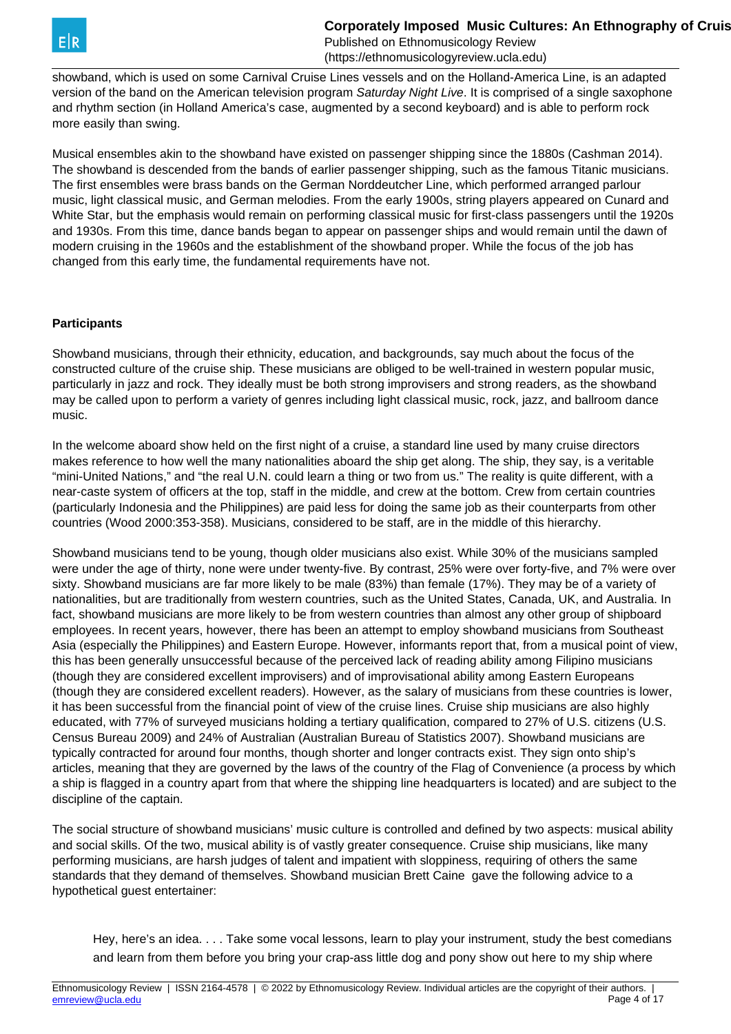

showband, which is used on some Carnival Cruise Lines vessels and on the Holland-America Line, is an adapted version of the band on the American television program Saturday Night Live. It is comprised of a single saxophone and rhythm section (in Holland America's case, augmented by a second keyboard) and is able to perform rock more easily than swing.

Musical ensembles akin to the showband have existed on passenger shipping since the 1880s (Cashman 2014). The showband is descended from the bands of earlier passenger shipping, such as the famous Titanic musicians. The first ensembles were brass bands on the German Norddeutcher Line, which performed arranged parlour music, light classical music, and German melodies. From the early 1900s, string players appeared on Cunard and White Star, but the emphasis would remain on performing classical music for first-class passengers until the 1920s and 1930s. From this time, dance bands began to appear on passenger ships and would remain until the dawn of modern cruising in the 1960s and the establishment of the showband proper. While the focus of the job has changed from this early time, the fundamental requirements have not.

#### **Participants**

Showband musicians, through their ethnicity, education, and backgrounds, say much about the focus of the constructed culture of the cruise ship. These musicians are obliged to be well-trained in western popular music, particularly in jazz and rock. They ideally must be both strong improvisers and strong readers, as the showband may be called upon to perform a variety of genres including light classical music, rock, jazz, and ballroom dance music.

In the welcome aboard show held on the first night of a cruise, a standard line used by many cruise directors makes reference to how well the many nationalities aboard the ship get along. The ship, they say, is a veritable "mini-United Nations," and "the real U.N. could learn a thing or two from us." The reality is quite different, with a near-caste system of officers at the top, staff in the middle, and crew at the bottom. Crew from certain countries (particularly Indonesia and the Philippines) are paid less for doing the same job as their counterparts from other countries (Wood 2000:353-358). Musicians, considered to be staff, are in the middle of this hierarchy.

Showband musicians tend to be young, though older musicians also exist. While 30% of the musicians sampled were under the age of thirty, none were under twenty-five. By contrast, 25% were over forty-five, and 7% were over sixty. Showband musicians are far more likely to be male (83%) than female (17%). They may be of a variety of nationalities, but are traditionally from western countries, such as the United States, Canada, UK, and Australia. In fact, showband musicians are more likely to be from western countries than almost any other group of shipboard employees. In recent years, however, there has been an attempt to employ showband musicians from Southeast Asia (especially the Philippines) and Eastern Europe. However, informants report that, from a musical point of view, this has been generally unsuccessful because of the perceived lack of reading ability among Filipino musicians (though they are considered excellent improvisers) and of improvisational ability among Eastern Europeans (though they are considered excellent readers). However, as the salary of musicians from these countries is lower, it has been successful from the financial point of view of the cruise lines. Cruise ship musicians are also highly educated, with 77% of surveyed musicians holding a tertiary qualification, compared to 27% of U.S. citizens (U.S. Census Bureau 2009) and 24% of Australian (Australian Bureau of Statistics 2007). Showband musicians are typically contracted for around four months, though shorter and longer contracts exist. They sign onto ship's articles, meaning that they are governed by the laws of the country of the Flag of Convenience (a process by which a ship is flagged in a country apart from that where the shipping line headquarters is located) and are subject to the discipline of the captain.

The social structure of showband musicians' music culture is controlled and defined by two aspects: musical ability and social skills. Of the two, musical ability is of vastly greater consequence. Cruise ship musicians, like many performing musicians, are harsh judges of talent and impatient with sloppiness, requiring of others the same standards that they demand of themselves. Showband musician Brett Caine gave the following advice to a hypothetical guest entertainer:

Hey, here's an idea. . . . Take some vocal lessons, learn to play your instrument, study the best comedians and learn from them before you bring your crap-ass little dog and pony show out here to my ship where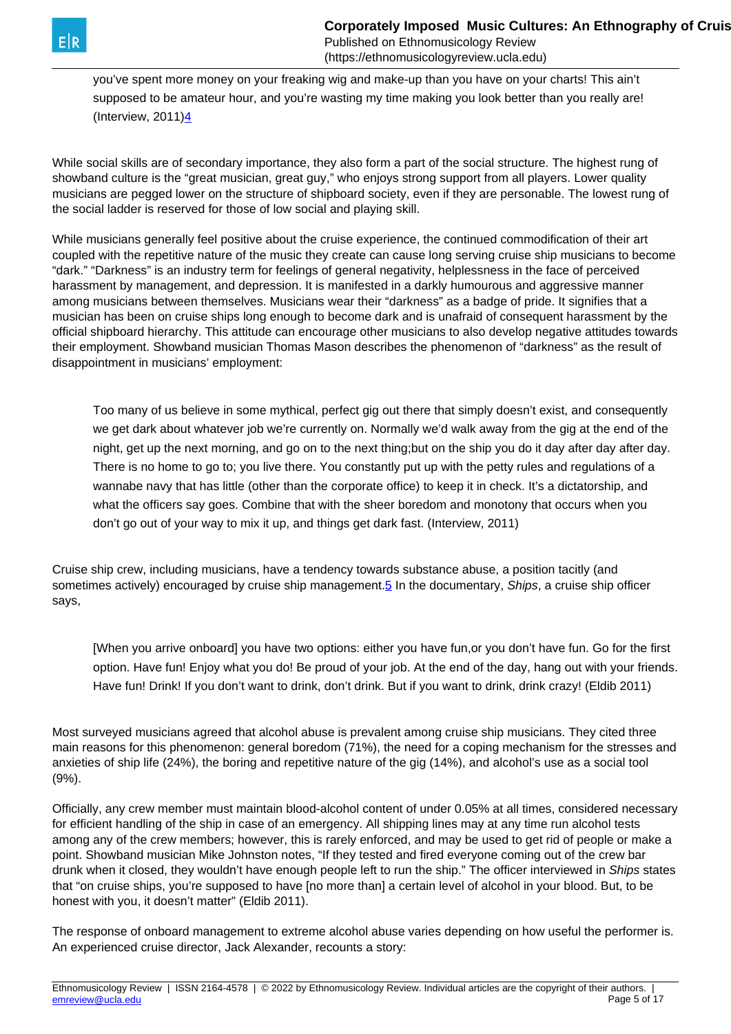<span id="page-4-0"></span>

you've spent more money on your freaking wig and make-up than you have on your charts! This ain't supposed to be amateur hour, and you're wasting my time making you look better than you really are! (Interview,  $2011)4$  $2011)4$ 

While social skills are of secondary importance, they also form a part of the social structure. The highest rung of showband culture is the "great musician, great guy," who enjoys strong support from all players. Lower quality musicians are pegged lower on the structure of shipboard society, even if they are personable. The lowest rung of the social ladder is reserved for those of low social and playing skill.

While musicians generally feel positive about the cruise experience, the continued commodification of their art coupled with the repetitive nature of the music they create can cause long serving cruise ship musicians to become "dark." "Darkness" is an industry term for feelings of general negativity, helplessness in the face of perceived harassment by management, and depression. It is manifested in a darkly humourous and aggressive manner among musicians between themselves. Musicians wear their "darkness" as a badge of pride. It signifies that a musician has been on cruise ships long enough to become dark and is unafraid of consequent harassment by the official shipboard hierarchy. This attitude can encourage other musicians to also develop negative attitudes towards their employment. Showband musician Thomas Mason describes the phenomenon of "darkness" as the result of disappointment in musicians' employment:

Too many of us believe in some mythical, perfect gig out there that simply doesn't exist, and consequently we get dark about whatever job we're currently on. Normally we'd walk away from the gig at the end of the night, get up the next morning, and go on to the next thing;but on the ship you do it day after day after day. There is no home to go to; you live there. You constantly put up with the petty rules and regulations of a wannabe navy that has little (other than the corporate office) to keep it in check. It's a dictatorship, and what the officers say goes. Combine that with the sheer boredom and monotony that occurs when you don't go out of your way to mix it up, and things get dark fast. (Interview, 2011)

Cruise ship crew, including musicians, have a tendency towards substance abuse, a position tacitly (and sometimes actively) encouraged by cruise ship management.<sup>[5](#page-4-0)</sup> In the documentary, Ships, a cruise ship officer says,

[When you arrive onboard] you have two options: either you have fun,or you don't have fun. Go for the first option. Have fun! Enjoy what you do! Be proud of your job. At the end of the day, hang out with your friends. Have fun! Drink! If you don't want to drink, don't drink. But if you want to drink, drink crazy! (Eldib 2011)

Most surveyed musicians agreed that alcohol abuse is prevalent among cruise ship musicians. They cited three main reasons for this phenomenon: general boredom (71%), the need for a coping mechanism for the stresses and anxieties of ship life (24%), the boring and repetitive nature of the gig (14%), and alcohol's use as a social tool (9%).

Officially, any crew member must maintain blood-alcohol content of under 0.05% at all times, considered necessary for efficient handling of the ship in case of an emergency. All shipping lines may at any time run alcohol tests among any of the crew members; however, this is rarely enforced, and may be used to get rid of people or make a point. Showband musician Mike Johnston notes, "If they tested and fired everyone coming out of the crew bar drunk when it closed, they wouldn't have enough people left to run the ship." The officer interviewed in Ships states that "on cruise ships, you're supposed to have [no more than] a certain level of alcohol in your blood. But, to be honest with you, it doesn't matter" (Eldib 2011).

The response of onboard management to extreme alcohol abuse varies depending on how useful the performer is. An experienced cruise director, Jack Alexander, recounts a story: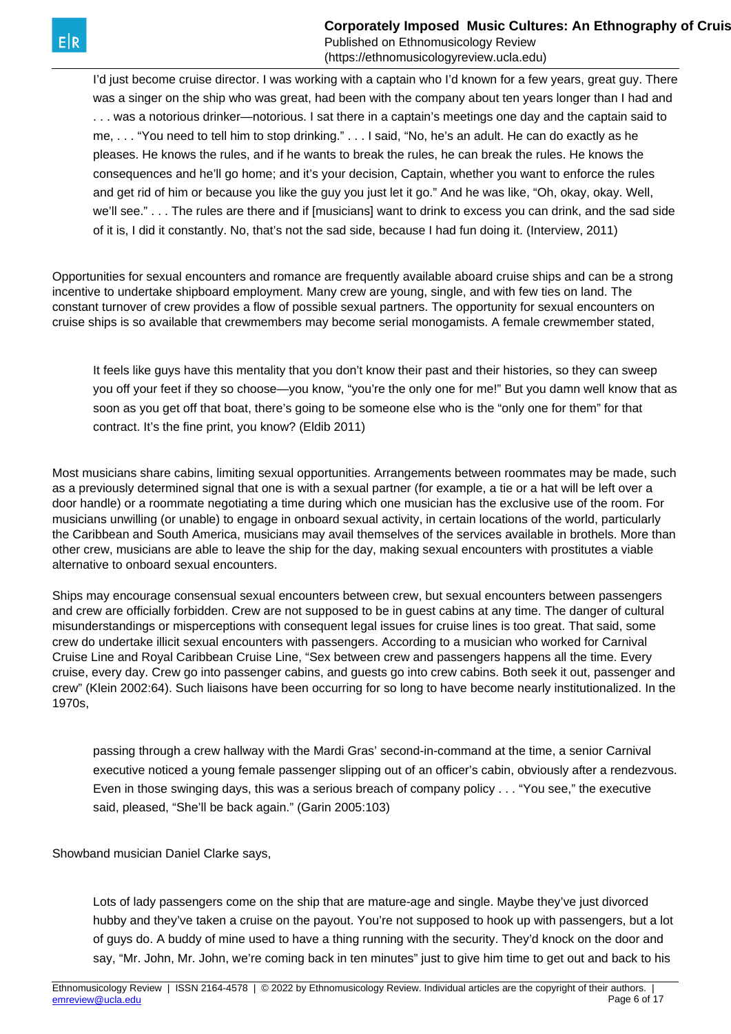**Corporately Imposed Music Cultures: An Ethnography of Cruis** 

Published on Ethnomusicology Review (https://ethnomusicologyreview.ucla.edu)

I'd just become cruise director. I was working with a captain who I'd known for a few years, great guy. There was a singer on the ship who was great, had been with the company about ten years longer than I had and . . . was a notorious drinker—notorious. I sat there in a captain's meetings one day and the captain said to me, . . . "You need to tell him to stop drinking." . . . I said, "No, he's an adult. He can do exactly as he pleases. He knows the rules, and if he wants to break the rules, he can break the rules. He knows the consequences and he'll go home; and it's your decision, Captain, whether you want to enforce the rules and get rid of him or because you like the guy you just let it go." And he was like, "Oh, okay, okay. Well, we'll see." . . . The rules are there and if [musicians] want to drink to excess you can drink, and the sad side of it is, I did it constantly. No, that's not the sad side, because I had fun doing it. (Interview, 2011)

Opportunities for sexual encounters and romance are frequently available aboard cruise ships and can be a strong incentive to undertake shipboard employment. Many crew are young, single, and with few ties on land. The constant turnover of crew provides a flow of possible sexual partners. The opportunity for sexual encounters on cruise ships is so available that crewmembers may become serial monogamists. A female crewmember stated,

It feels like guys have this mentality that you don't know their past and their histories, so they can sweep you off your feet if they so choose—you know, "you're the only one for me!" But you damn well know that as soon as you get off that boat, there's going to be someone else who is the "only one for them" for that contract. It's the fine print, you know? (Eldib 2011)

Most musicians share cabins, limiting sexual opportunities. Arrangements between roommates may be made, such as a previously determined signal that one is with a sexual partner (for example, a tie or a hat will be left over a door handle) or a roommate negotiating a time during which one musician has the exclusive use of the room. For musicians unwilling (or unable) to engage in onboard sexual activity, in certain locations of the world, particularly the Caribbean and South America, musicians may avail themselves of the services available in brothels. More than other crew, musicians are able to leave the ship for the day, making sexual encounters with prostitutes a viable alternative to onboard sexual encounters.

Ships may encourage consensual sexual encounters between crew, but sexual encounters between passengers and crew are officially forbidden. Crew are not supposed to be in guest cabins at any time. The danger of cultural misunderstandings or misperceptions with consequent legal issues for cruise lines is too great. That said, some crew do undertake illicit sexual encounters with passengers. According to a musician who worked for Carnival Cruise Line and Royal Caribbean Cruise Line, "Sex between crew and passengers happens all the time. Every cruise, every day. Crew go into passenger cabins, and guests go into crew cabins. Both seek it out, passenger and crew" (Klein 2002:64). Such liaisons have been occurring for so long to have become nearly institutionalized. In the 1970s,

passing through a crew hallway with the Mardi Gras' second-in-command at the time, a senior Carnival executive noticed a young female passenger slipping out of an officer's cabin, obviously after a rendezvous. Even in those swinging days, this was a serious breach of company policy . . . "You see," the executive said, pleased, "She'll be back again." (Garin 2005:103)

Showband musician Daniel Clarke says,

Lots of lady passengers come on the ship that are mature-age and single. Maybe they've just divorced hubby and they've taken a cruise on the payout. You're not supposed to hook up with passengers, but a lot of guys do. A buddy of mine used to have a thing running with the security. They'd knock on the door and say, "Mr. John, Mr. John, we're coming back in ten minutes" just to give him time to get out and back to his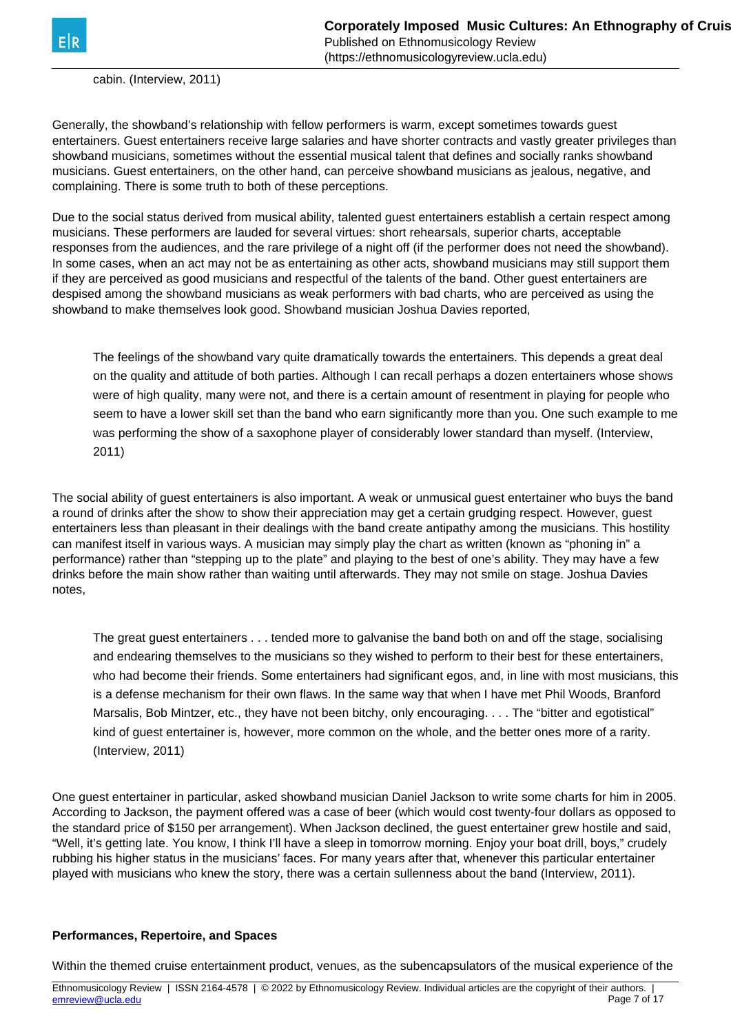

cabin. (Interview, 2011)

Generally, the showband's relationship with fellow performers is warm, except sometimes towards guest entertainers. Guest entertainers receive large salaries and have shorter contracts and vastly greater privileges than showband musicians, sometimes without the essential musical talent that defines and socially ranks showband musicians. Guest entertainers, on the other hand, can perceive showband musicians as jealous, negative, and complaining. There is some truth to both of these perceptions.

Due to the social status derived from musical ability, talented guest entertainers establish a certain respect among musicians. These performers are lauded for several virtues: short rehearsals, superior charts, acceptable responses from the audiences, and the rare privilege of a night off (if the performer does not need the showband). In some cases, when an act may not be as entertaining as other acts, showband musicians may still support them if they are perceived as good musicians and respectful of the talents of the band. Other guest entertainers are despised among the showband musicians as weak performers with bad charts, who are perceived as using the showband to make themselves look good. Showband musician Joshua Davies reported,

The feelings of the showband vary quite dramatically towards the entertainers. This depends a great deal on the quality and attitude of both parties. Although I can recall perhaps a dozen entertainers whose shows were of high quality, many were not, and there is a certain amount of resentment in playing for people who seem to have a lower skill set than the band who earn significantly more than you. One such example to me was performing the show of a saxophone player of considerably lower standard than myself. (Interview, 2011)

The social ability of guest entertainers is also important. A weak or unmusical guest entertainer who buys the band a round of drinks after the show to show their appreciation may get a certain grudging respect. However, guest entertainers less than pleasant in their dealings with the band create antipathy among the musicians. This hostility can manifest itself in various ways. A musician may simply play the chart as written (known as "phoning in" a performance) rather than "stepping up to the plate" and playing to the best of one's ability. They may have a few drinks before the main show rather than waiting until afterwards. They may not smile on stage. Joshua Davies notes,

The great guest entertainers . . . tended more to galvanise the band both on and off the stage, socialising and endearing themselves to the musicians so they wished to perform to their best for these entertainers, who had become their friends. Some entertainers had significant egos, and, in line with most musicians, this is a defense mechanism for their own flaws. In the same way that when I have met Phil Woods, Branford Marsalis, Bob Mintzer, etc., they have not been bitchy, only encouraging. . . . The "bitter and egotistical" kind of guest entertainer is, however, more common on the whole, and the better ones more of a rarity. (Interview, 2011)

One guest entertainer in particular, asked showband musician Daniel Jackson to write some charts for him in 2005. According to Jackson, the payment offered was a case of beer (which would cost twenty-four dollars as opposed to the standard price of \$150 per arrangement). When Jackson declined, the guest entertainer grew hostile and said, "Well, it's getting late. You know, I think I'll have a sleep in tomorrow morning. Enjoy your boat drill, boys," crudely rubbing his higher status in the musicians' faces. For many years after that, whenever this particular entertainer played with musicians who knew the story, there was a certain sullenness about the band (Interview, 2011).

#### **Performances, Repertoire, and Spaces**

Within the themed cruise entertainment product, venues, as the subencapsulators of the musical experience of the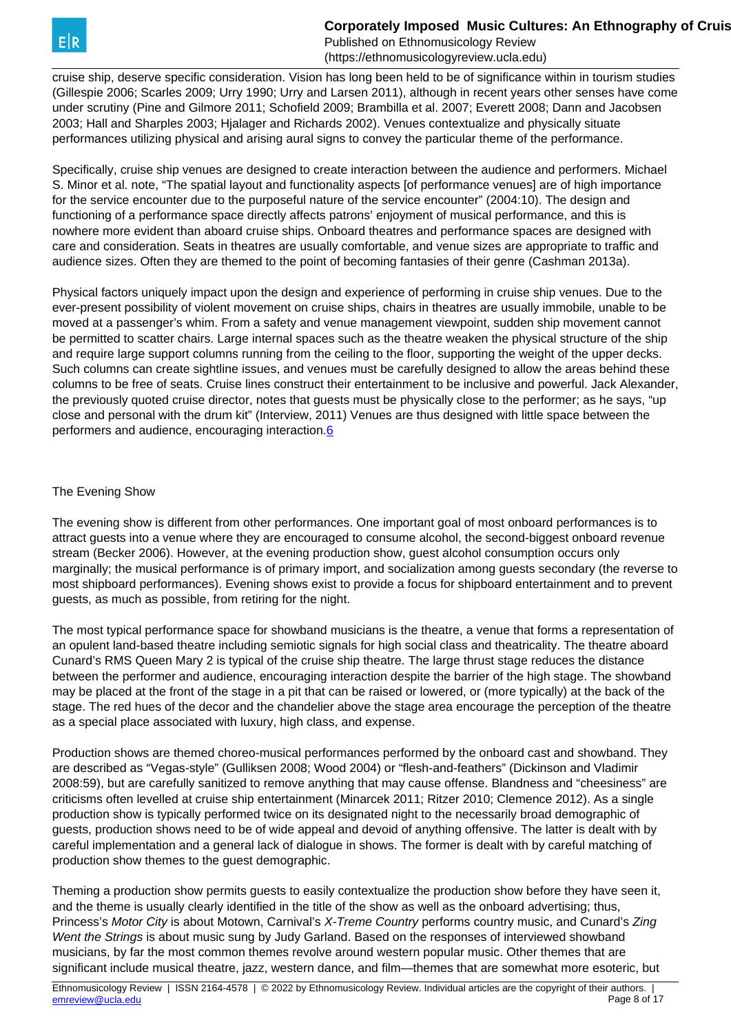<span id="page-7-0"></span>cruise ship, deserve specific consideration. Vision has long been held to be of significance within in tourism studies (Gillespie 2006; Scarles 2009; Urry 1990; Urry and Larsen 2011), although in recent years other senses have come under scrutiny (Pine and Gilmore 2011; Schofield 2009; Brambilla et al. 2007; Everett 2008; Dann and Jacobsen 2003; Hall and Sharples 2003; Hjalager and Richards 2002). Venues contextualize and physically situate performances utilizing physical and arising aural signs to convey the particular theme of the performance.

Specifically, cruise ship venues are designed to create interaction between the audience and performers. Michael S. Minor et al. note, "The spatial layout and functionality aspects [of performance venues] are of high importance for the service encounter due to the purposeful nature of the service encounter" (2004:10). The design and functioning of a performance space directly affects patrons' enjoyment of musical performance, and this is nowhere more evident than aboard cruise ships. Onboard theatres and performance spaces are designed with care and consideration. Seats in theatres are usually comfortable, and venue sizes are appropriate to traffic and audience sizes. Often they are themed to the point of becoming fantasies of their genre (Cashman 2013a).

Physical factors uniquely impact upon the design and experience of performing in cruise ship venues. Due to the ever-present possibility of violent movement on cruise ships, chairs in theatres are usually immobile, unable to be moved at a passenger's whim. From a safety and venue management viewpoint, sudden ship movement cannot be permitted to scatter chairs. Large internal spaces such as the theatre weaken the physical structure of the ship and require large support columns running from the ceiling to the floor, supporting the weight of the upper decks. Such columns can create sightline issues, and venues must be carefully designed to allow the areas behind these columns to be free of seats. Cruise lines construct their entertainment to be inclusive and powerful. Jack Alexander, the previously quoted cruise director, notes that guests must be physically close to the performer; as he says, "up close and personal with the drum kit" (Interview, 2011) Venues are thus designed with little space between the performers and audience, encouraging interaction.[6](#page-7-0) 

### The Evening Show

The evening show is different from other performances. One important goal of most onboard performances is to attract guests into a venue where they are encouraged to consume alcohol, the second-biggest onboard revenue stream (Becker 2006). However, at the evening production show, guest alcohol consumption occurs only marginally; the musical performance is of primary import, and socialization among guests secondary (the reverse to most shipboard performances). Evening shows exist to provide a focus for shipboard entertainment and to prevent guests, as much as possible, from retiring for the night.

The most typical performance space for showband musicians is the theatre, a venue that forms a representation of an opulent land-based theatre including semiotic signals for high social class and theatricality. The theatre aboard Cunard's RMS Queen Mary 2 is typical of the cruise ship theatre. The large thrust stage reduces the distance between the performer and audience, encouraging interaction despite the barrier of the high stage. The showband may be placed at the front of the stage in a pit that can be raised or lowered, or (more typically) at the back of the stage. The red hues of the decor and the chandelier above the stage area encourage the perception of the theatre as a special place associated with luxury, high class, and expense.

Production shows are themed choreo-musical performances performed by the onboard cast and showband. They are described as "Vegas-style" (Gulliksen 2008; Wood 2004) or "flesh-and-feathers" (Dickinson and Vladimir 2008:59), but are carefully sanitized to remove anything that may cause offense. Blandness and "cheesiness" are criticisms often levelled at cruise ship entertainment (Minarcek 2011; Ritzer 2010; Clemence 2012). As a single production show is typically performed twice on its designated night to the necessarily broad demographic of guests, production shows need to be of wide appeal and devoid of anything offensive. The latter is dealt with by careful implementation and a general lack of dialogue in shows. The former is dealt with by careful matching of production show themes to the guest demographic.

Theming a production show permits guests to easily contextualize the production show before they have seen it, and the theme is usually clearly identified in the title of the show as well as the onboard advertising; thus, Princess's Motor City is about Motown, Carnival's X-Treme Country performs country music, and Cunard's Zing Went the Strings is about music sung by Judy Garland. Based on the responses of interviewed showband musicians, by far the most common themes revolve around western popular music. Other themes that are significant include musical theatre, jazz, western dance, and film—themes that are somewhat more esoteric, but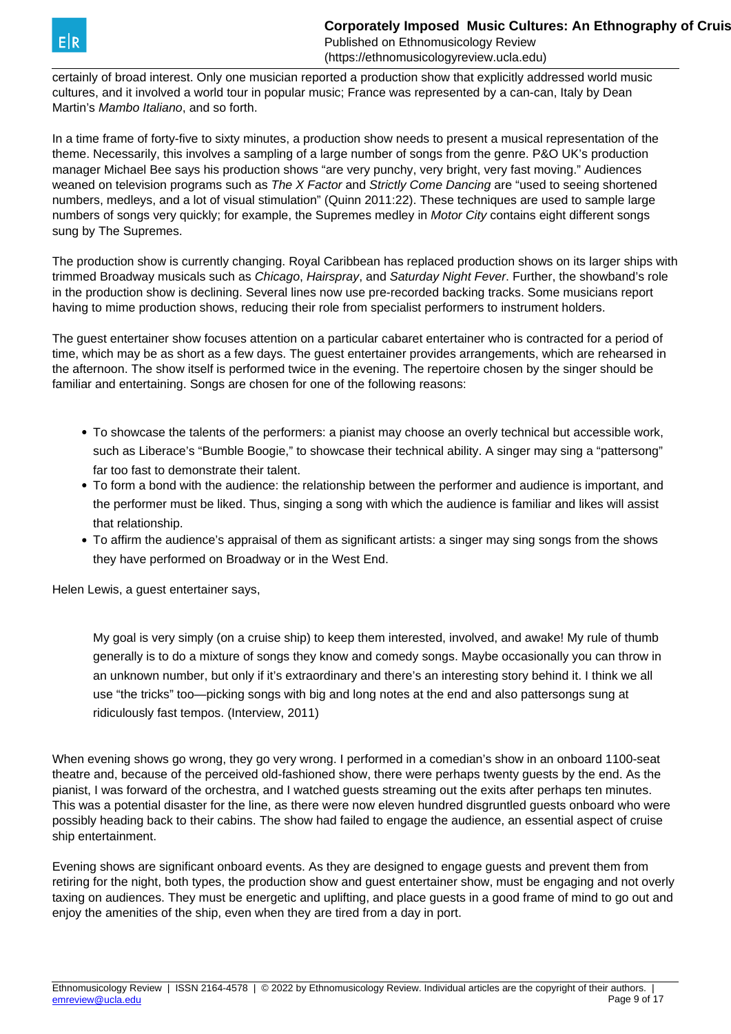

certainly of broad interest. Only one musician reported a production show that explicitly addressed world music cultures, and it involved a world tour in popular music; France was represented by a can-can, Italy by Dean Martin's Mambo Italiano, and so forth.

In a time frame of forty-five to sixty minutes, a production show needs to present a musical representation of the theme. Necessarily, this involves a sampling of a large number of songs from the genre. P&O UK's production manager Michael Bee says his production shows "are very punchy, very bright, very fast moving." Audiences weaned on television programs such as The X Factor and Strictly Come Dancing are "used to seeing shortened numbers, medleys, and a lot of visual stimulation" (Quinn 2011:22). These techniques are used to sample large numbers of songs very quickly; for example, the Supremes medley in Motor City contains eight different songs sung by The Supremes.

The production show is currently changing. Royal Caribbean has replaced production shows on its larger ships with trimmed Broadway musicals such as Chicago, Hairspray, and Saturday Night Fever. Further, the showband's role in the production show is declining. Several lines now use pre-recorded backing tracks. Some musicians report having to mime production shows, reducing their role from specialist performers to instrument holders.

The guest entertainer show focuses attention on a particular cabaret entertainer who is contracted for a period of time, which may be as short as a few days. The guest entertainer provides arrangements, which are rehearsed in the afternoon. The show itself is performed twice in the evening. The repertoire chosen by the singer should be familiar and entertaining. Songs are chosen for one of the following reasons:

- To showcase the talents of the performers: a pianist may choose an overly technical but accessible work, such as Liberace's "Bumble Boogie," to showcase their technical ability. A singer may sing a "pattersong" far too fast to demonstrate their talent.
- To form a bond with the audience: the relationship between the performer and audience is important, and the performer must be liked. Thus, singing a song with which the audience is familiar and likes will assist that relationship.
- To affirm the audience's appraisal of them as significant artists: a singer may sing songs from the shows they have performed on Broadway or in the West End.

Helen Lewis, a guest entertainer says,

My goal is very simply (on a cruise ship) to keep them interested, involved, and awake! My rule of thumb generally is to do a mixture of songs they know and comedy songs. Maybe occasionally you can throw in an unknown number, but only if it's extraordinary and there's an interesting story behind it. I think we all use "the tricks" too—picking songs with big and long notes at the end and also pattersongs sung at ridiculously fast tempos. (Interview, 2011)

When evening shows go wrong, they go very wrong. I performed in a comedian's show in an onboard 1100-seat theatre and, because of the perceived old-fashioned show, there were perhaps twenty guests by the end. As the pianist, I was forward of the orchestra, and I watched guests streaming out the exits after perhaps ten minutes. This was a potential disaster for the line, as there were now eleven hundred disgruntled guests onboard who were possibly heading back to their cabins. The show had failed to engage the audience, an essential aspect of cruise ship entertainment.

Evening shows are significant onboard events. As they are designed to engage guests and prevent them from retiring for the night, both types, the production show and guest entertainer show, must be engaging and not overly taxing on audiences. They must be energetic and uplifting, and place guests in a good frame of mind to go out and enjoy the amenities of the ship, even when they are tired from a day in port.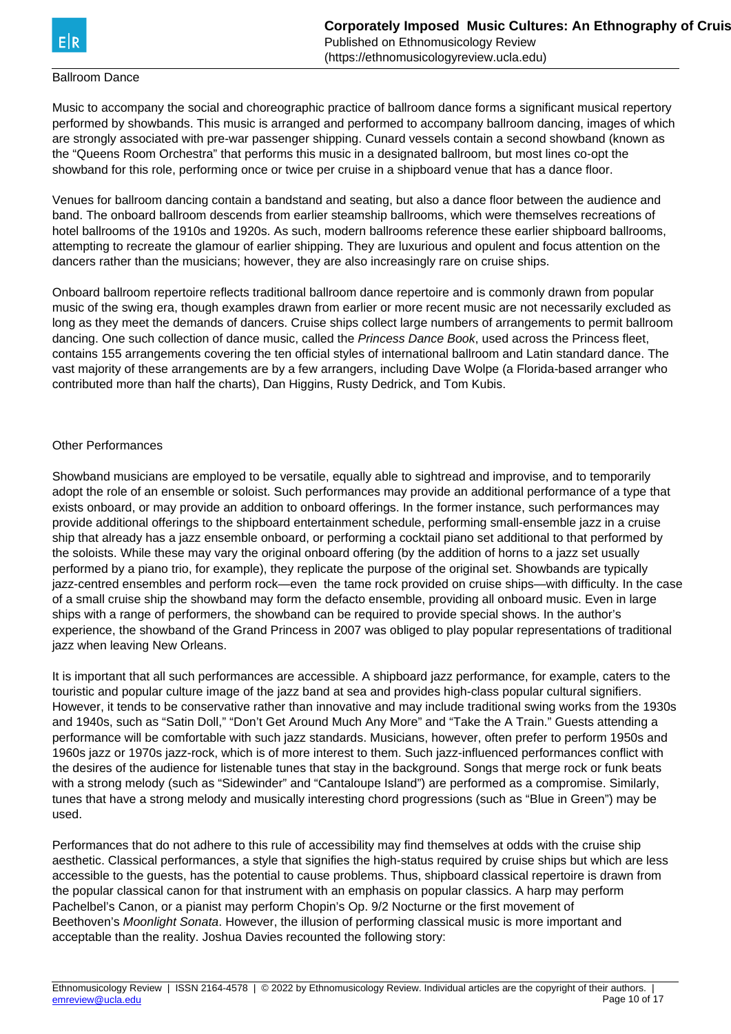

### Ballroom Dance

Music to accompany the social and choreographic practice of ballroom dance forms a significant musical repertory performed by showbands. This music is arranged and performed to accompany ballroom dancing, images of which are strongly associated with pre-war passenger shipping. Cunard vessels contain a second showband (known as the "Queens Room Orchestra" that performs this music in a designated ballroom, but most lines co-opt the showband for this role, performing once or twice per cruise in a shipboard venue that has a dance floor.

Venues for ballroom dancing contain a bandstand and seating, but also a dance floor between the audience and band. The onboard ballroom descends from earlier steamship ballrooms, which were themselves recreations of hotel ballrooms of the 1910s and 1920s. As such, modern ballrooms reference these earlier shipboard ballrooms, attempting to recreate the glamour of earlier shipping. They are luxurious and opulent and focus attention on the dancers rather than the musicians; however, they are also increasingly rare on cruise ships.

Onboard ballroom repertoire reflects traditional ballroom dance repertoire and is commonly drawn from popular music of the swing era, though examples drawn from earlier or more recent music are not necessarily excluded as long as they meet the demands of dancers. Cruise ships collect large numbers of arrangements to permit ballroom dancing. One such collection of dance music, called the Princess Dance Book, used across the Princess fleet, contains 155 arrangements covering the ten official styles of international ballroom and Latin standard dance. The vast majority of these arrangements are by a few arrangers, including Dave Wolpe (a Florida-based arranger who contributed more than half the charts), Dan Higgins, Rusty Dedrick, and Tom Kubis.

### Other Performances

Showband musicians are employed to be versatile, equally able to sightread and improvise, and to temporarily adopt the role of an ensemble or soloist. Such performances may provide an additional performance of a type that exists onboard, or may provide an addition to onboard offerings. In the former instance, such performances may provide additional offerings to the shipboard entertainment schedule, performing small-ensemble jazz in a cruise ship that already has a jazz ensemble onboard, or performing a cocktail piano set additional to that performed by the soloists. While these may vary the original onboard offering (by the addition of horns to a jazz set usually performed by a piano trio, for example), they replicate the purpose of the original set. Showbands are typically jazz-centred ensembles and perform rock—even the tame rock provided on cruise ships—with difficulty. In the case of a small cruise ship the showband may form the defacto ensemble, providing all onboard music. Even in large ships with a range of performers, the showband can be required to provide special shows. In the author's experience, the showband of the Grand Princess in 2007 was obliged to play popular representations of traditional jazz when leaving New Orleans.

It is important that all such performances are accessible. A shipboard jazz performance, for example, caters to the touristic and popular culture image of the jazz band at sea and provides high-class popular cultural signifiers. However, it tends to be conservative rather than innovative and may include traditional swing works from the 1930s and 1940s, such as "Satin Doll," "Don't Get Around Much Any More" and "Take the A Train." Guests attending a performance will be comfortable with such jazz standards. Musicians, however, often prefer to perform 1950s and 1960s jazz or 1970s jazz-rock, which is of more interest to them. Such jazz-influenced performances conflict with the desires of the audience for listenable tunes that stay in the background. Songs that merge rock or funk beats with a strong melody (such as "Sidewinder" and "Cantaloupe Island") are performed as a compromise. Similarly, tunes that have a strong melody and musically interesting chord progressions (such as "Blue in Green") may be used.

Performances that do not adhere to this rule of accessibility may find themselves at odds with the cruise ship aesthetic. Classical performances, a style that signifies the high-status required by cruise ships but which are less accessible to the guests, has the potential to cause problems. Thus, shipboard classical repertoire is drawn from the popular classical canon for that instrument with an emphasis on popular classics. A harp may perform Pachelbel's Canon, or a pianist may perform Chopin's Op. 9/2 Nocturne or the first movement of Beethoven's Moonlight Sonata. However, the illusion of performing classical music is more important and acceptable than the reality. Joshua Davies recounted the following story: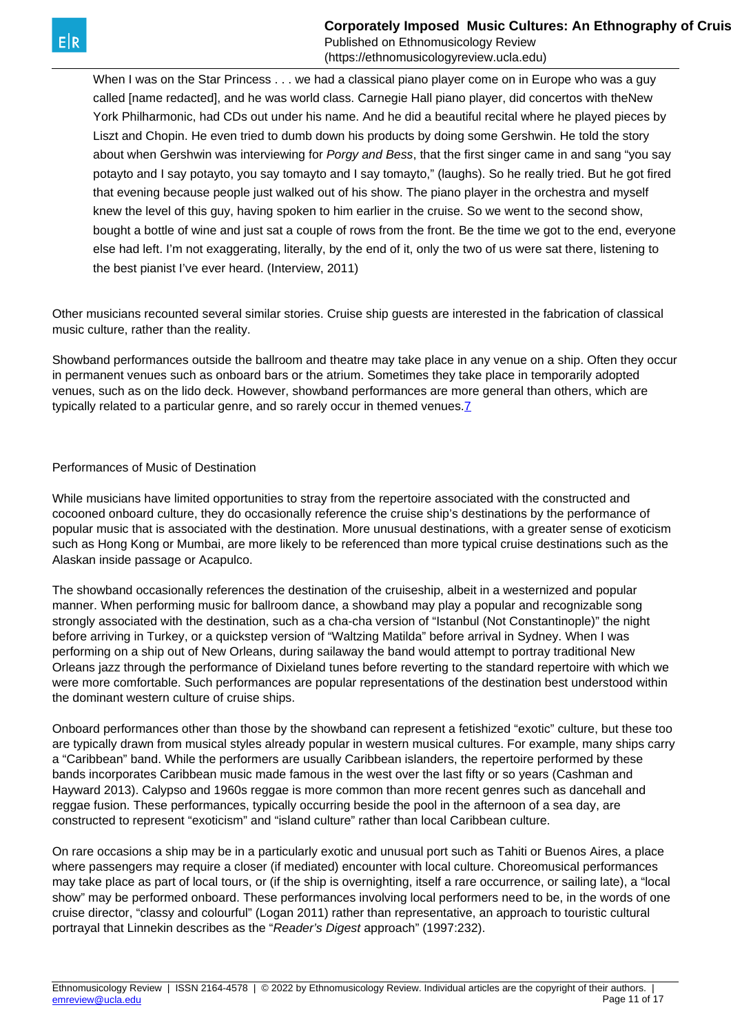<span id="page-10-0"></span>When I was on the Star Princess . . . we had a classical piano player come on in Europe who was a guy called [name redacted], and he was world class. Carnegie Hall piano player, did concertos with theNew York Philharmonic, had CDs out under his name. And he did a beautiful recital where he played pieces by Liszt and Chopin. He even tried to dumb down his products by doing some Gershwin. He told the story about when Gershwin was interviewing for Porgy and Bess, that the first singer came in and sang "you say potayto and I say potayto, you say tomayto and I say tomayto," (laughs). So he really tried. But he got fired that evening because people just walked out of his show. The piano player in the orchestra and myself knew the level of this guy, having spoken to him earlier in the cruise. So we went to the second show, bought a bottle of wine and just sat a couple of rows from the front. Be the time we got to the end, everyone else had left. I'm not exaggerating, literally, by the end of it, only the two of us were sat there, listening to the best pianist I've ever heard. (Interview, 2011)

Other musicians recounted several similar stories. Cruise ship guests are interested in the fabrication of classical music culture, rather than the reality.

Showband performances outside the ballroom and theatre may take place in any venue on a ship. Often they occur in permanent venues such as onboard bars or the atrium. Sometimes they take place in temporarily adopted venues, such as on the lido deck. However, showband performances are more general than others, which are typically related to a particular genre, and so rarely occur in themed venues[.7](#page-10-0)

#### Performances of Music of Destination

While musicians have limited opportunities to stray from the repertoire associated with the constructed and cocooned onboard culture, they do occasionally reference the cruise ship's destinations by the performance of popular music that is associated with the destination. More unusual destinations, with a greater sense of exoticism such as Hong Kong or Mumbai, are more likely to be referenced than more typical cruise destinations such as the Alaskan inside passage or Acapulco.

The showband occasionally references the destination of the cruiseship, albeit in a westernized and popular manner. When performing music for ballroom dance, a showband may play a popular and recognizable song strongly associated with the destination, such as a cha-cha version of "Istanbul (Not Constantinople)" the night before arriving in Turkey, or a quickstep version of "Waltzing Matilda" before arrival in Sydney. When I was performing on a ship out of New Orleans, during sailaway the band would attempt to portray traditional New Orleans jazz through the performance of Dixieland tunes before reverting to the standard repertoire with which we were more comfortable. Such performances are popular representations of the destination best understood within the dominant western culture of cruise ships.

Onboard performances other than those by the showband can represent a fetishized "exotic" culture, but these too are typically drawn from musical styles already popular in western musical cultures. For example, many ships carry a "Caribbean" band. While the performers are usually Caribbean islanders, the repertoire performed by these bands incorporates Caribbean music made famous in the west over the last fifty or so years (Cashman and Hayward 2013). Calypso and 1960s reggae is more common than more recent genres such as dancehall and reggae fusion. These performances, typically occurring beside the pool in the afternoon of a sea day, are constructed to represent "exoticism" and "island culture" rather than local Caribbean culture.

On rare occasions a ship may be in a particularly exotic and unusual port such as Tahiti or Buenos Aires, a place where passengers may require a closer (if mediated) encounter with local culture. Choreomusical performances may take place as part of local tours, or (if the ship is overnighting, itself a rare occurrence, or sailing late), a "local show" may be performed onboard. These performances involving local performers need to be, in the words of one cruise director, "classy and colourful" (Logan 2011) rather than representative, an approach to touristic cultural portrayal that Linnekin describes as the "Reader's Digest approach" (1997:232).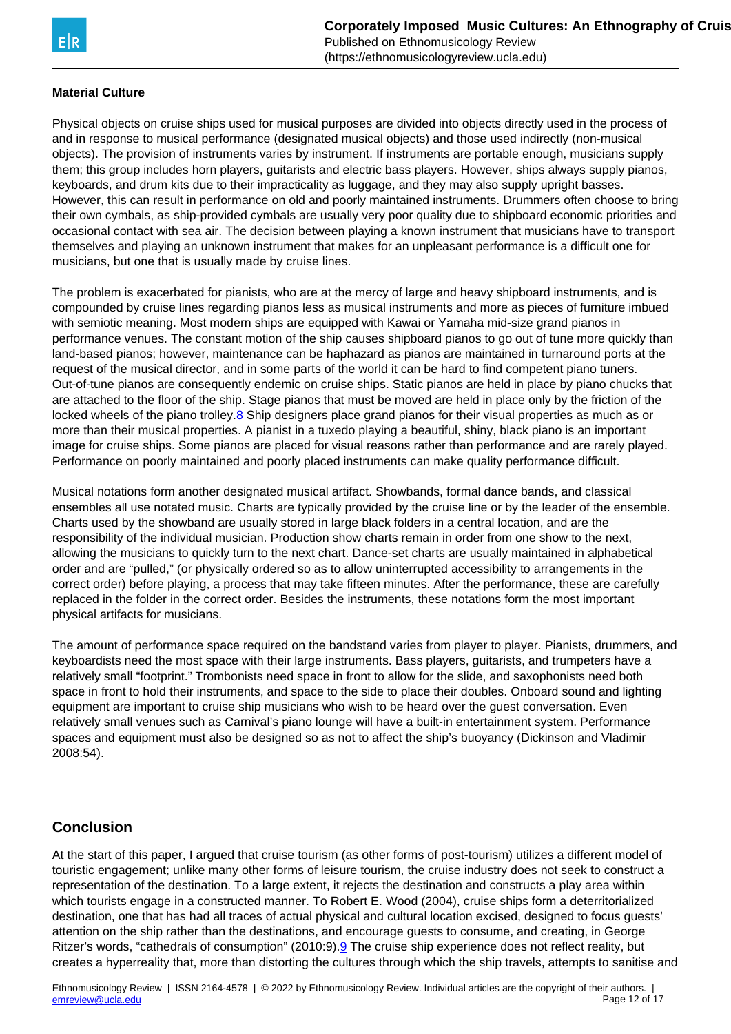### <span id="page-11-0"></span>**Material Culture**

Physical objects on cruise ships used for musical purposes are divided into objects directly used in the process of and in response to musical performance (designated musical objects) and those used indirectly (non-musical objects). The provision of instruments varies by instrument. If instruments are portable enough, musicians supply them; this group includes horn players, guitarists and electric bass players. However, ships always supply pianos, keyboards, and drum kits due to their impracticality as luggage, and they may also supply upright basses. However, this can result in performance on old and poorly maintained instruments. Drummers often choose to bring their own cymbals, as ship-provided cymbals are usually very poor quality due to shipboard economic priorities and occasional contact with sea air. The decision between playing a known instrument that musicians have to transport themselves and playing an unknown instrument that makes for an unpleasant performance is a difficult one for musicians, but one that is usually made by cruise lines.

The problem is exacerbated for pianists, who are at the mercy of large and heavy shipboard instruments, and is compounded by cruise lines regarding pianos less as musical instruments and more as pieces of furniture imbued with semiotic meaning. Most modern ships are equipped with Kawai or Yamaha mid-size grand pianos in performance venues. The constant motion of the ship causes shipboard pianos to go out of tune more quickly than land-based pianos; however, maintenance can be haphazard as pianos are maintained in turnaround ports at the request of the musical director, and in some parts of the world it can be hard to find competent piano tuners. Out-of-tune pianos are consequently endemic on cruise ships. Static pianos are held in place by piano chucks that are attached to the floor of the ship. Stage pianos that must be moved are held in place only by the friction of the locked wheels of the piano trolley.[8](#page-11-0) Ship designers place grand pianos for their visual properties as much as or more than their musical properties. A pianist in a tuxedo playing a beautiful, shiny, black piano is an important image for cruise ships. Some pianos are placed for visual reasons rather than performance and are rarely played. Performance on poorly maintained and poorly placed instruments can make quality performance difficult.

Musical notations form another designated musical artifact. Showbands, formal dance bands, and classical ensembles all use notated music. Charts are typically provided by the cruise line or by the leader of the ensemble. Charts used by the showband are usually stored in large black folders in a central location, and are the responsibility of the individual musician. Production show charts remain in order from one show to the next, allowing the musicians to quickly turn to the next chart. Dance-set charts are usually maintained in alphabetical order and are "pulled," (or physically ordered so as to allow uninterrupted accessibility to arrangements in the correct order) before playing, a process that may take fifteen minutes. After the performance, these are carefully replaced in the folder in the correct order. Besides the instruments, these notations form the most important physical artifacts for musicians.

The amount of performance space required on the bandstand varies from player to player. Pianists, drummers, and keyboardists need the most space with their large instruments. Bass players, guitarists, and trumpeters have a relatively small "footprint." Trombonists need space in front to allow for the slide, and saxophonists need both space in front to hold their instruments, and space to the side to place their doubles. Onboard sound and lighting equipment are important to cruise ship musicians who wish to be heard over the guest conversation. Even relatively small venues such as Carnival's piano lounge will have a built-in entertainment system. Performance spaces and equipment must also be designed so as not to affect the ship's buoyancy (Dickinson and Vladimir 2008:54).

# **Conclusion**

At the start of this paper, I argued that cruise tourism (as other forms of post-tourism) utilizes a different model of touristic engagement; unlike many other forms of leisure tourism, the cruise industry does not seek to construct a representation of the destination. To a large extent, it rejects the destination and constructs a play area within which tourists engage in a constructed manner. To Robert E. Wood (2004), cruise ships form a deterritorialized destination, one that has had all traces of actual physical and cultural location excised, designed to focus guests' attention on the ship rather than the destinations, and encourage guests to consume, and creating, in George Ritzer's words, "cathedrals of consumption" (2010:9).<sup>9</sup> The cruise ship experience does not reflect reality, but creates a hyperreality that, more than distorting the cultures through which the ship travels, attempts to sanitise and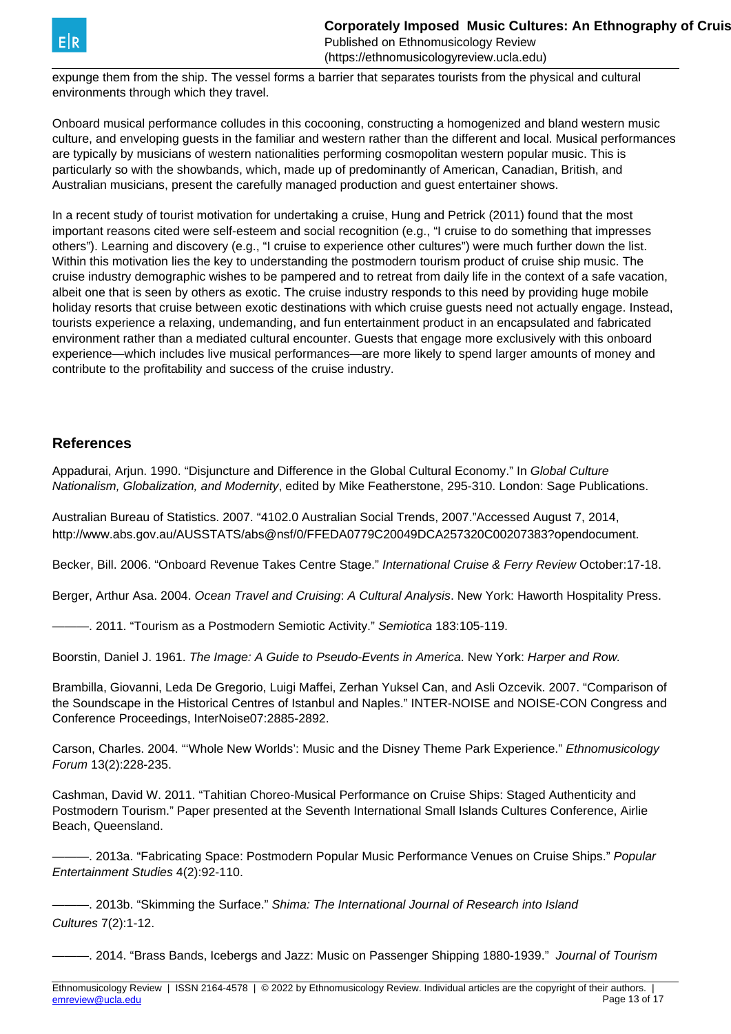

expunge them from the ship. The vessel forms a barrier that separates tourists from the physical and cultural environments through which they travel.

Onboard musical performance colludes in this cocooning, constructing a homogenized and bland western music culture, and enveloping guests in the familiar and western rather than the different and local. Musical performances are typically by musicians of western nationalities performing cosmopolitan western popular music. This is particularly so with the showbands, which, made up of predominantly of American, Canadian, British, and Australian musicians, present the carefully managed production and guest entertainer shows.

In a recent study of tourist motivation for undertaking a cruise, Hung and Petrick (2011) found that the most important reasons cited were self-esteem and social recognition (e.g., "I cruise to do something that impresses others"). Learning and discovery (e.g., "I cruise to experience other cultures") were much further down the list. Within this motivation lies the key to understanding the postmodern tourism product of cruise ship music. The cruise industry demographic wishes to be pampered and to retreat from daily life in the context of a safe vacation, albeit one that is seen by others as exotic. The cruise industry responds to this need by providing huge mobile holiday resorts that cruise between exotic destinations with which cruise guests need not actually engage. Instead, tourists experience a relaxing, undemanding, and fun entertainment product in an encapsulated and fabricated environment rather than a mediated cultural encounter. Guests that engage more exclusively with this onboard experience—which includes live musical performances—are more likely to spend larger amounts of money and contribute to the profitability and success of the cruise industry.

### **References**

Appadurai, Arjun. 1990. "Disjuncture and Difference in the Global Cultural Economy." In Global Culture Nationalism, Globalization, and Modernity, edited by Mike Featherstone, 295-310. London: Sage Publications.

Australian Bureau of Statistics. 2007. "4102.0 Australian Social Trends, 2007."Accessed August 7, 2014, http://www.abs.gov.au/AUSSTATS/abs@nsf/0/FFEDA0779C20049DCA257320C00207383?opendocument.

Becker, Bill. 2006. "Onboard Revenue Takes Centre Stage." International Cruise & Ferry Review October:17-18.

Berger, Arthur Asa. 2004. Ocean Travel and Cruising: A Cultural Analysis. New York: Haworth Hospitality Press.

- 2011. "Tourism as a Postmodern Semiotic Activity." Semiotica 183:105-119.

Boorstin, Daniel J. 1961. The Image: A Guide to Pseudo-Events in America. New York: Harper and Row.

Brambilla, Giovanni, Leda De Gregorio, Luigi Maffei, Zerhan Yuksel Can, and Asli Ozcevik. 2007. "Comparison of the Soundscape in the Historical Centres of Istanbul and Naples." INTER-NOISE and NOISE-CON Congress and Conference Proceedings, InterNoise07:2885-2892.

Carson, Charles. 2004. "'Whole New Worlds': Music and the Disney Theme Park Experience." Ethnomusicology Forum 13(2):228-235.

Cashman, David W. 2011. "Tahitian Choreo-Musical Performance on Cruise Ships: Staged Authenticity and Postmodern Tourism." Paper presented at the Seventh International Small Islands Cultures Conference, Airlie Beach, Queensland.

-. 2013a. "Fabricating Space: Postmodern Popular Music Performance Venues on Cruise Ships." Popular Entertainment Studies 4(2):92-110.

———. 2013b. "Skimming the Surface." Shima: The International Journal of Research into Island Cultures 7(2):1-12.

-. 2014. "Brass Bands, Icebergs and Jazz: Music on Passenger Shipping 1880-1939." *Journal of Tourism*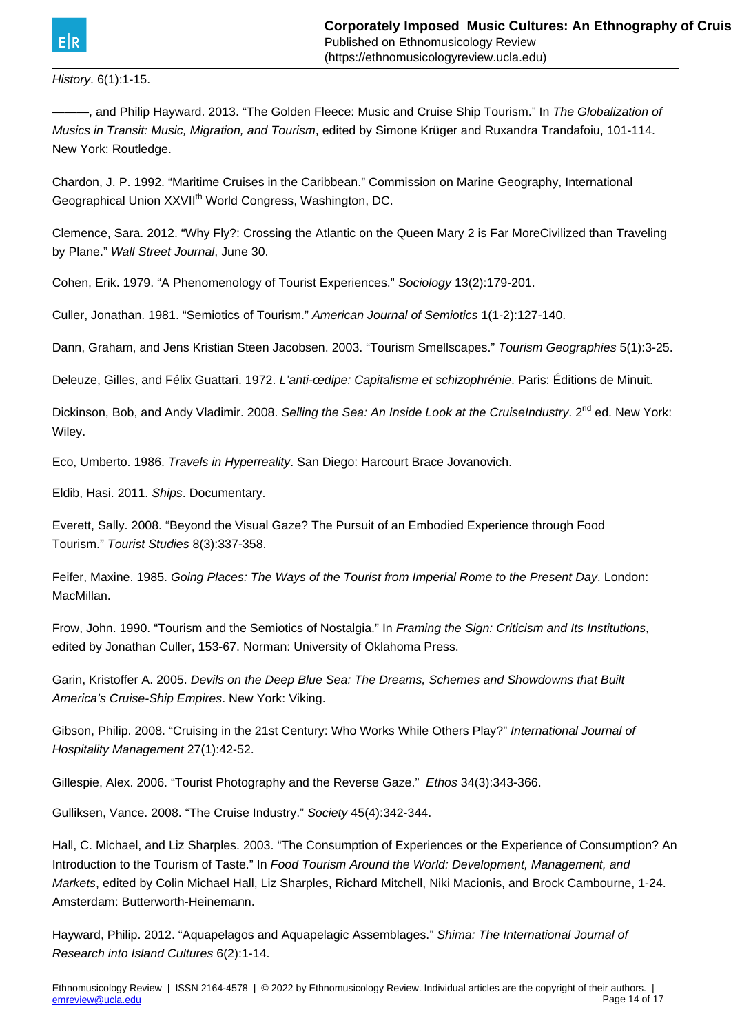#### History. 6(1):1-15.

———, and Philip Hayward. 2013. "The Golden Fleece: Music and Cruise Ship Tourism." In The Globalization of Musics in Transit: Music, Migration, and Tourism, edited by Simone Krüger and Ruxandra Trandafoiu, 101-114. New York: Routledge.

Chardon, J. P. 1992. "Maritime Cruises in the Caribbean." Commission on Marine Geography, International Geographical Union XXVII<sup>th</sup> World Congress, Washington, DC.

Clemence, Sara. 2012. "Why Fly?: Crossing the Atlantic on the Queen Mary 2 is Far MoreCivilized than Traveling by Plane." Wall Street Journal, June 30.

Cohen, Erik. 1979. "A Phenomenology of Tourist Experiences." Sociology 13(2):179-201.

Culler, Jonathan. 1981. "Semiotics of Tourism." American Journal of Semiotics 1(1-2):127-140.

Dann, Graham, and Jens Kristian Steen Jacobsen. 2003. "Tourism Smellscapes." Tourism Geographies 5(1):3-25.

Deleuze, Gilles, and Félix Guattari. 1972. L'anti-œdipe: Capitalisme et schizophrénie. Paris: Éditions de Minuit.

Dickinson, Bob, and Andy Vladimir. 2008. Selling the Sea: An Inside Look at the CruiseIndustry. 2<sup>nd</sup> ed. New York: Wiley.

Eco, Umberto. 1986. Travels in Hyperreality. San Diego: Harcourt Brace Jovanovich.

Eldib, Hasi. 2011. Ships. Documentary.

Everett, Sally. 2008. "Beyond the Visual Gaze? The Pursuit of an Embodied Experience through Food Tourism." Tourist Studies 8(3):337-358.

Feifer, Maxine. 1985. Going Places: The Ways of the Tourist from Imperial Rome to the Present Day. London: MacMillan.

Frow, John. 1990. "Tourism and the Semiotics of Nostalgia." In Framing the Sign: Criticism and Its Institutions, edited by Jonathan Culler, 153-67. Norman: University of Oklahoma Press.

Garin, Kristoffer A. 2005. Devils on the Deep Blue Sea: The Dreams, Schemes and Showdowns that Built America's Cruise-Ship Empires. New York: Viking.

Gibson, Philip. 2008. "Cruising in the 21st Century: Who Works While Others Play?" International Journal of Hospitality Management 27(1):42-52.

Gillespie, Alex. 2006. "Tourist Photography and the Reverse Gaze." Ethos 34(3):343-366.

Gulliksen, Vance. 2008. "The Cruise Industry." Society 45(4):342-344.

Hall, C. Michael, and Liz Sharples. 2003. "The Consumption of Experiences or the Experience of Consumption? An Introduction to the Tourism of Taste." In Food Tourism Around the World: Development, Management, and Markets, edited by Colin Michael Hall, Liz Sharples, Richard Mitchell, Niki Macionis, and Brock Cambourne, 1-24. Amsterdam: Butterworth-Heinemann.

Hayward, Philip. 2012. "Aquapelagos and Aquapelagic Assemblages." Shima: The International Journal of Research into Island Cultures 6(2):1-14.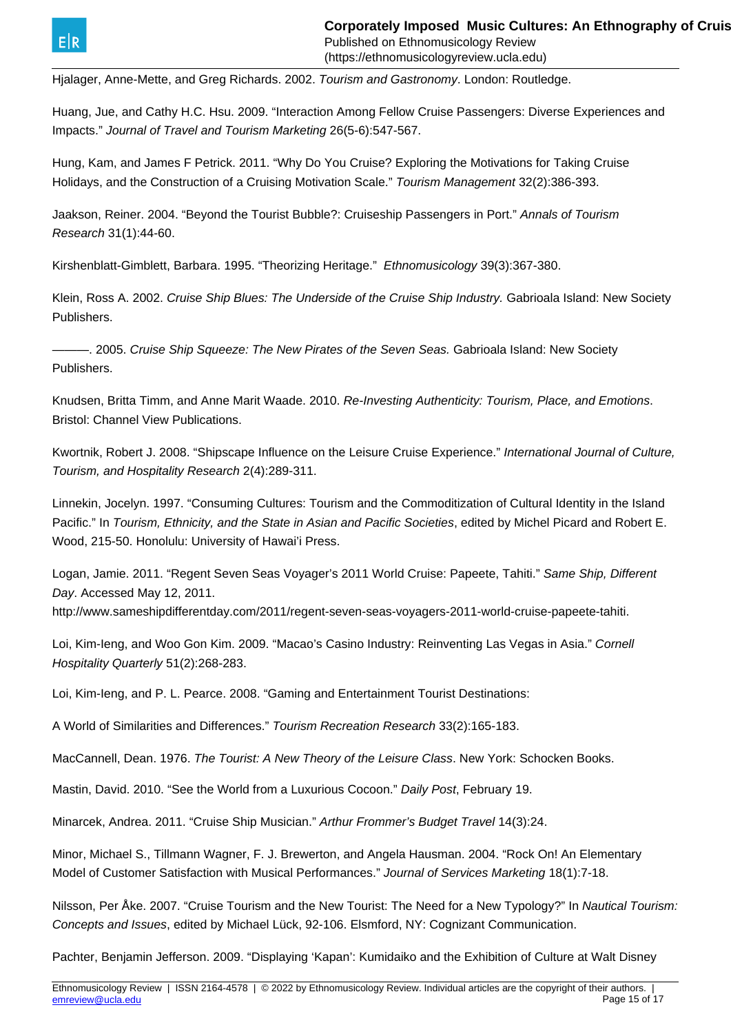

Hjalager, Anne-Mette, and Greg Richards. 2002. Tourism and Gastronomy. London: Routledge.

Huang, Jue, and Cathy H.C. Hsu. 2009. "Interaction Among Fellow Cruise Passengers: Diverse Experiences and Impacts." Journal of Travel and Tourism Marketing 26(5-6):547-567.

Hung, Kam, and James F Petrick. 2011. "Why Do You Cruise? Exploring the Motivations for Taking Cruise Holidays, and the Construction of a Cruising Motivation Scale." Tourism Management 32(2):386-393.

Jaakson, Reiner. 2004. "Beyond the Tourist Bubble?: Cruiseship Passengers in Port." Annals of Tourism Research 31(1):44-60.

Kirshenblatt-Gimblett, Barbara. 1995. "Theorizing Heritage." Ethnomusicology 39(3):367-380.

Klein, Ross A. 2002. Cruise Ship Blues: The Underside of the Cruise Ship Industry. Gabrioala Island: New Society Publishers.

-. 2005. Cruise Ship Squeeze: The New Pirates of the Seven Seas. Gabrioala Island: New Society Publishers.

Knudsen, Britta Timm, and Anne Marit Waade. 2010. Re-Investing Authenticity: Tourism, Place, and Emotions. Bristol: Channel View Publications.

Kwortnik, Robert J. 2008. "Shipscape Influence on the Leisure Cruise Experience." International Journal of Culture, Tourism, and Hospitality Research 2(4):289-311.

Linnekin, Jocelyn. 1997. "Consuming Cultures: Tourism and the Commoditization of Cultural Identity in the Island Pacific." In Tourism, Ethnicity, and the State in Asian and Pacific Societies, edited by Michel Picard and Robert E. Wood, 215-50. Honolulu: University of Hawai'i Press.

Logan, Jamie. 2011. "Regent Seven Seas Voyager's 2011 World Cruise: Papeete, Tahiti." Same Ship, Different Day. Accessed May 12, 2011.

http://www.sameshipdifferentday.com/2011/regent-seven-seas-voyagers-2011-world-cruise-papeete-tahiti.

Loi, Kim-Ieng, and Woo Gon Kim. 2009. "Macao's Casino Industry: Reinventing Las Vegas in Asia." Cornell Hospitality Quarterly 51(2):268-283.

Loi, Kim-Ieng, and P. L. Pearce. 2008. "Gaming and Entertainment Tourist Destinations:

A World of Similarities and Differences." Tourism Recreation Research 33(2):165-183.

MacCannell, Dean. 1976. The Tourist: A New Theory of the Leisure Class. New York: Schocken Books.

Mastin, David. 2010. "See the World from a Luxurious Cocoon." Daily Post, February 19.

Minarcek, Andrea. 2011. "Cruise Ship Musician." Arthur Frommer's Budget Travel 14(3):24.

Minor, Michael S., Tillmann Wagner, F. J. Brewerton, and Angela Hausman. 2004. "Rock On! An Elementary Model of Customer Satisfaction with Musical Performances." Journal of Services Marketing 18(1):7-18.

Nilsson, Per Åke. 2007. "Cruise Tourism and the New Tourist: The Need for a New Typology?" In Nautical Tourism: Concepts and Issues, edited by Michael Lück, 92-106. Elsmford, NY: Cognizant Communication.

Pachter, Benjamin Jefferson. 2009. "Displaying 'Kapan': Kumidaiko and the Exhibition of Culture at Walt Disney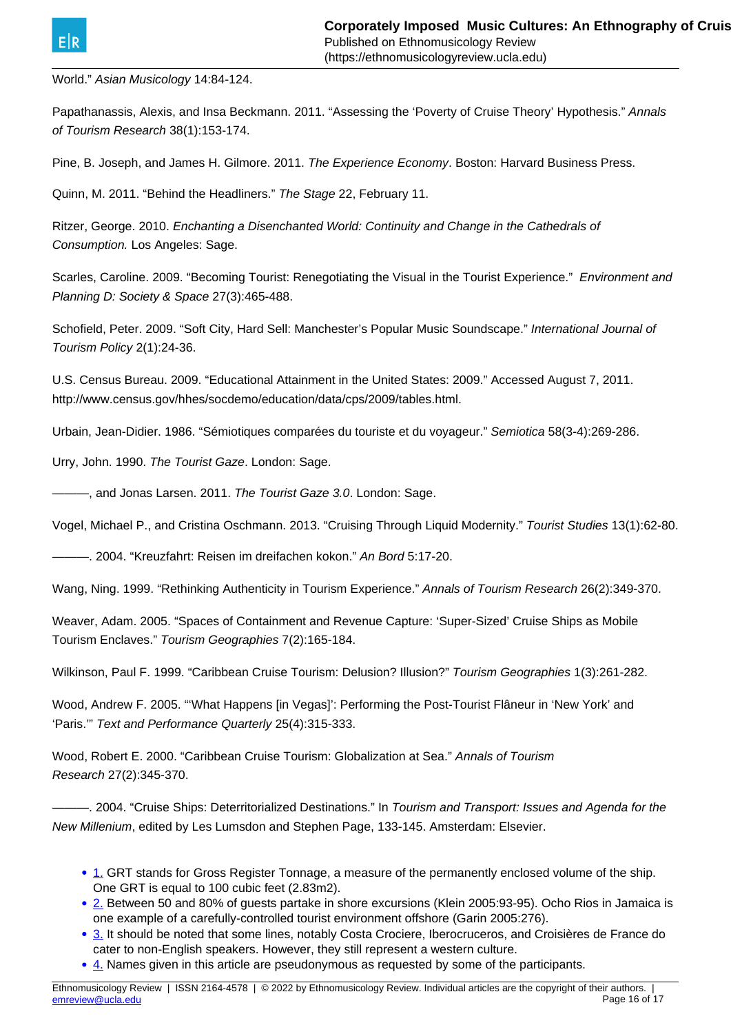<span id="page-15-0"></span>World." Asian Musicology 14:84-124.

Papathanassis, Alexis, and Insa Beckmann. 2011. "Assessing the 'Poverty of Cruise Theory' Hypothesis." Annals of Tourism Research 38(1):153-174.

Pine, B. Joseph, and James H. Gilmore. 2011. The Experience Economy. Boston: Harvard Business Press.

Quinn, M. 2011. "Behind the Headliners." The Stage 22, February 11.

Ritzer, George. 2010. Enchanting a Disenchanted World: Continuity and Change in the Cathedrals of Consumption. Los Angeles: Sage.

Scarles, Caroline. 2009. "Becoming Tourist: Renegotiating the Visual in the Tourist Experience." Environment and Planning D: Society & Space 27(3):465-488.

Schofield, Peter. 2009. "Soft City, Hard Sell: Manchester's Popular Music Soundscape." International Journal of Tourism Policy 2(1):24-36.

U.S. Census Bureau. 2009. "Educational Attainment in the United States: 2009." Accessed August 7, 2011. http://www.census.gov/hhes/socdemo/education/data/cps/2009/tables.html.

Urbain, Jean-Didier. 1986. "Sémiotiques comparées du touriste et du voyageur." Semiotica 58(3-4):269-286.

Urry, John. 1990. The Tourist Gaze. London: Sage.

-, and Jonas Larsen. 2011. The Tourist Gaze 3.0. London: Sage.

Vogel, Michael P., and Cristina Oschmann. 2013. "Cruising Through Liquid Modernity." Tourist Studies 13(1):62-80.

----- 2004. "Kreuzfahrt: Reisen im dreifachen kokon." An Bord 5:17-20.

Wang, Ning. 1999. "Rethinking Authenticity in Tourism Experience." Annals of Tourism Research 26(2):349-370.

Weaver, Adam. 2005. "Spaces of Containment and Revenue Capture: 'Super-Sized' Cruise Ships as Mobile Tourism Enclaves." Tourism Geographies 7(2):165-184.

Wilkinson, Paul F. 1999. "Caribbean Cruise Tourism: Delusion? Illusion?" Tourism Geographies 1(3):261-282.

Wood, Andrew F. 2005. "'What Happens [in Vegas]': Performing the Post-Tourist Flâneur in 'New York' and 'Paris.'" Text and Performance Quarterly 25(4):315-333.

Wood, Robert E. 2000. "Caribbean Cruise Tourism: Globalization at Sea." Annals of Tourism Research 27(2):345-370.

-. 2004. "Cruise Ships: Deterritorialized Destinations." In Tourism and Transport: Issues and Agenda for the New Millenium, edited by Les Lumsdon and Stephen Page, 133-145. Amsterdam: Elsevier.

- [1.](#page-15-0) GRT stands for Gross Register Tonnage, a measure of the permanently enclosed volume of the ship. One GRT is equal to 100 cubic feet (2.83m2).
- [2.](#page-15-0) Between 50 and 80% of guests partake in shore excursions (Klein 2005:93-95). Ocho Rios in Jamaica is one example of a carefully-controlled tourist environment offshore (Garin 2005:276).
- [3.](#page-15-0) It should be noted that some lines, notably Costa Crociere, Iberocruceros, and Croisières de France do cater to non-English speakers. However, they still represent a western culture.
- [4.](#page-15-0) Names given in this article are pseudonymous as requested by some of the participants.